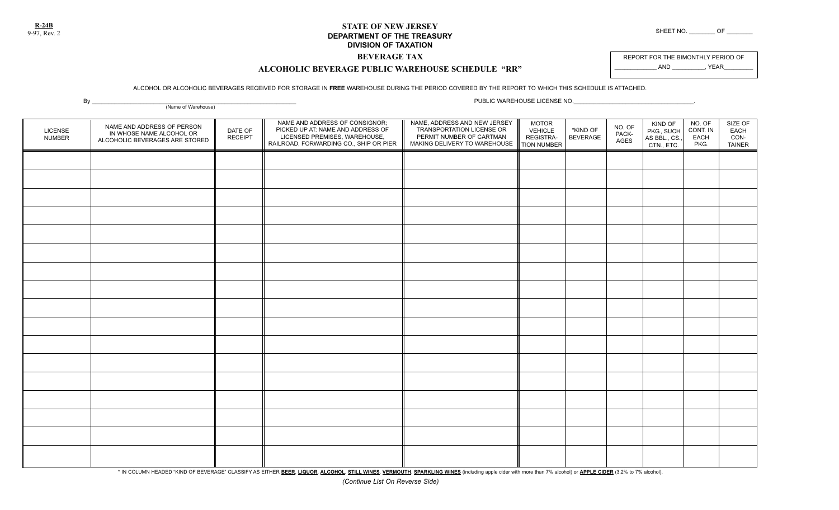**R-24B**

### **STATE OF NEW JERSEY DEPARTMENT OF THE TREASURY** SHEET NO. \_\_\_\_\_\_\_\_ OF \_\_\_\_\_\_\_\_\_\_ OF **DIVISION OF TAXATION**

## **BEVERAGE TAX**

REPORT FOR THE BIMONTHLY PERIOD OF \_\_\_\_\_\_\_\_\_\_\_\_\_ AND \_\_\_\_\_\_\_\_\_\_, YEAR\_\_\_\_\_\_\_\_\_

# **ALCOHOLIC BEVERAGE PUBLIC WAREHOUSE SCHEDULE "RR"**

#### ALCOHOL OR ALCOHOLIC BEVERAGES RECEIVED FOR STORAGE IN **FREE** WAREHOUSE DURING THE PERIOD COVERED BY THE REPORT TO WHICH THIS SCHEDULE IS ATTACHED.

KIND OF PKG., SUCH AS BBL., CS., CTN., ETC. LICENSE NUMBER DATE OF RECEIPT NAME AND ADDRESS OF CONSIGNOR; PICKED UP AT: NAME AND ADDRESS OF LICENSED PREMISES, WAREHOUSE, RAILROAD, FORWARDING CO., SHIP OR PIER NAME, ADDRESS AND NEW JERSEY TRANSPORTATION LICENSE OR PERMIT NUMBER OF CARTMAN MAKING DELIVERY TO WAREHOUSE NO. OF CONT. IN EACH PKG. SIZE OF EACH CON-TAINER By \_\_\_\_\_\_\_\_\_\_\_\_\_\_\_\_\_\_\_\_\_\_\_\_\_\_\_\_\_\_\_\_\_\_\_\_\_\_\_\_\_\_\_\_\_\_\_\_\_\_\_\_\_\_\_\_\_\_\_\_\_\_\_ PUBLIC WAREHOUSE LICENSE NO.\_\_\_\_\_\_\_\_\_\_\_\_\_\_\_\_\_\_\_\_\_\_\_\_\_\_\_\_\_\_\_\_\_\_\_\_\_. (Name of Warehouse) NAME AND ADDRESS OF PERSON IN WHOSE NAME ALCOHOL OR ALCOHOLIC BEVERAGES ARE STORED NO. OF PACK-<br>AGES \*KIND OF<br>BEVERAGE MOTOR VEHICLE REGISTRA-TION NUMBER

\* IN COLUMN HEADED "KIND OF BEVERAGE" CLASSIFY AS EITHER BEER, LIQUOR, ALCOHOL, STILL WINES, VERMOUTH, SPARKLING WINES (including apple cider with more than 7% alcohol) or APPLE CIDER (3.2% to 7% alcohol).